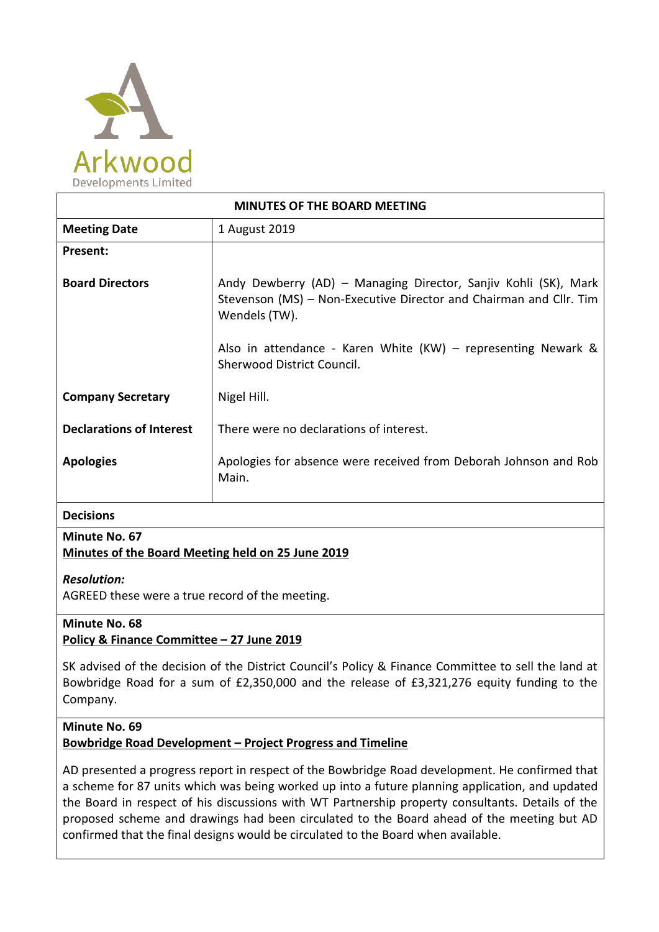

| <b>MINUTES OF THE BOARD MEETING</b> |                                                                                                                                                        |
|-------------------------------------|--------------------------------------------------------------------------------------------------------------------------------------------------------|
| <b>Meeting Date</b>                 | 1 August 2019                                                                                                                                          |
| Present:                            |                                                                                                                                                        |
| <b>Board Directors</b>              | Andy Dewberry (AD) - Managing Director, Sanjiv Kohli (SK), Mark<br>Stevenson (MS) - Non-Executive Director and Chairman and Cllr. Tim<br>Wendels (TW). |
|                                     | Also in attendance - Karen White $(KW)$ – representing Newark &<br>Sherwood District Council.                                                          |
| <b>Company Secretary</b>            | Nigel Hill.                                                                                                                                            |
| <b>Declarations of Interest</b>     | There were no declarations of interest.                                                                                                                |
| <b>Apologies</b>                    | Apologies for absence were received from Deborah Johnson and Rob<br>Main.                                                                              |
| <b>Decisions</b>                    |                                                                                                                                                        |

# **Minute No. 67**

# **Minutes of the Board Meeting held on 25 June 2019**

# *Resolution:*

AGREED these were a true record of the meeting.

#### **Minute No. 68 Policy & Finance Committee – 27 June 2019**

SK advised of the decision of the District Council's Policy & Finance Committee to sell the land at Bowbridge Road for a sum of £2,350,000 and the release of £3,321,276 equity funding to the Company.

#### **Minute No. 69**

# **Bowbridge Road Development – Project Progress and Timeline**

AD presented a progress report in respect of the Bowbridge Road development. He confirmed that a scheme for 87 units which was being worked up into a future planning application, and updated the Board in respect of his discussions with WT Partnership property consultants. Details of the proposed scheme and drawings had been circulated to the Board ahead of the meeting but AD confirmed that the final designs would be circulated to the Board when available.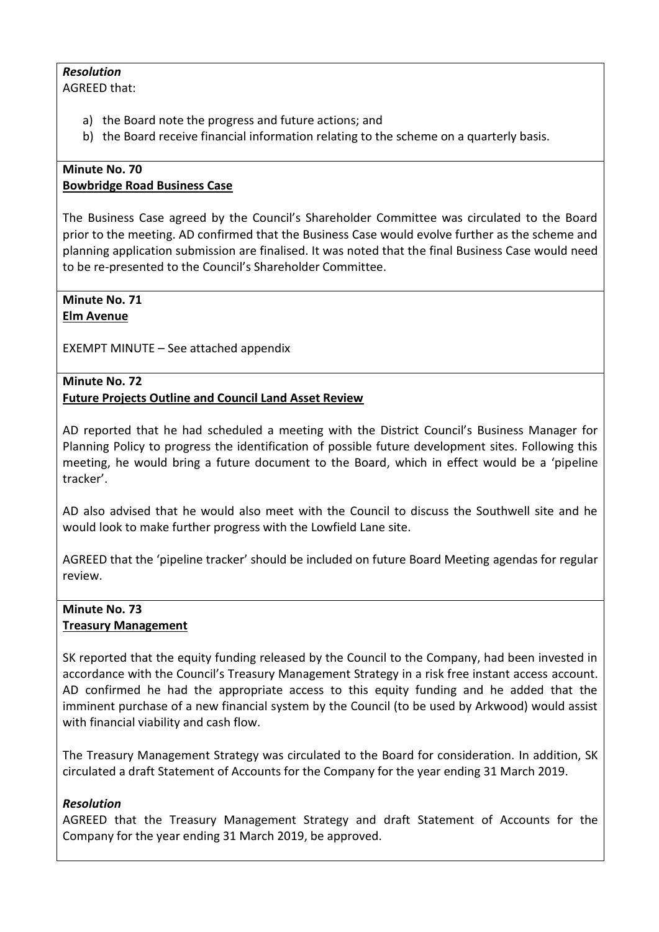# *Resolution*

AGREED that:

- a) the Board note the progress and future actions; and
- b) the Board receive financial information relating to the scheme on a quarterly basis.

#### **Minute No. 70 Bowbridge Road Business Case**

The Business Case agreed by the Council's Shareholder Committee was circulated to the Board prior to the meeting. AD confirmed that the Business Case would evolve further as the scheme and planning application submission are finalised. It was noted that the final Business Case would need to be re-presented to the Council's Shareholder Committee.

# **Minute No. 71 Elm Avenue**

EXEMPT MINUTE – See attached appendix

#### **Minute No. 72 Future Projects Outline and Council Land Asset Review**

AD reported that he had scheduled a meeting with the District Council's Business Manager for Planning Policy to progress the identification of possible future development sites. Following this meeting, he would bring a future document to the Board, which in effect would be a 'pipeline tracker'.

AD also advised that he would also meet with the Council to discuss the Southwell site and he would look to make further progress with the Lowfield Lane site.

AGREED that the 'pipeline tracker' should be included on future Board Meeting agendas for regular review.

# **Minute No. 73 Treasury Management**

SK reported that the equity funding released by the Council to the Company, had been invested in accordance with the Council's Treasury Management Strategy in a risk free instant access account. AD confirmed he had the appropriate access to this equity funding and he added that the imminent purchase of a new financial system by the Council (to be used by Arkwood) would assist with financial viability and cash flow.

The Treasury Management Strategy was circulated to the Board for consideration. In addition, SK circulated a draft Statement of Accounts for the Company for the year ending 31 March 2019.

# *Resolution*

AGREED that the Treasury Management Strategy and draft Statement of Accounts for the Company for the year ending 31 March 2019, be approved.